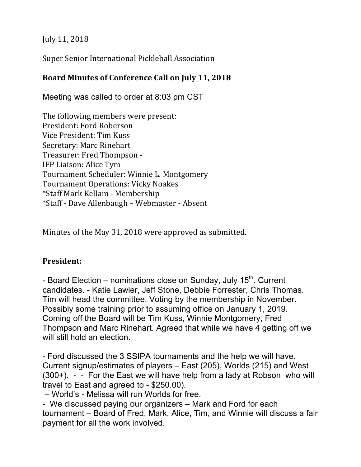July 11, 2018

Super Senior International Pickleball Association

# Board Minutes of Conference Call on July 11, 2018

Meeting was called to order at 8:03 pm CST

The following members were present: President: Ford Roberson Vice President: Tim Kuss Secretary: Marc Rinehart Treasurer: Fred Thompson -IFP Liaison: Alice Tym Tournament Scheduler: Winnie L. Montgomery Tournament Operations: Vicky Noakes \*Staff Mark Kellam - Membership \*Staff - Dave Allenbaugh – Webmaster - Absent

Minutes of the May 31, 2018 were approved as submitted.

# **President:**

- Board Election – nominations close on Sunday, July  $15<sup>th</sup>$ . Current candidates. - Katie Lawler, Jeff Stone, Debbie Forrester, Chris Thomas. Tim will head the committee. Voting by the membership in November. Possibly some training prior to assuming office on January 1, 2019. Coming off the Board will be Tim Kuss, Winnie Montgomery, Fred Thompson and Marc Rinehart. Agreed that while we have 4 getting off we will still hold an election.

- Ford discussed the 3 SSIPA tournaments and the help we will have. Current signup/estimates of players – East (205), Worlds (215) and West (300+). - - For the East we will have help from a lady at Robson who will travel to East and agreed to - \$250.00).

– World's - Melissa will run Worlds for free.

- We discussed paying our organizers – Mark and Ford for each tournament – Board of Fred, Mark, Alice, Tim, and Winnie will discuss a fair payment for all the work involved.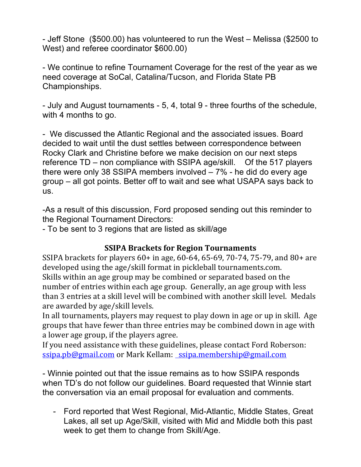- Jeff Stone (\$500.00) has volunteered to run the West – Melissa (\$2500 to West) and referee coordinator \$600.00)

- We continue to refine Tournament Coverage for the rest of the year as we need coverage at SoCal, Catalina/Tucson, and Florida State PB Championships.

- July and August tournaments - 5, 4, total 9 - three fourths of the schedule, with 4 months to go.

- We discussed the Atlantic Regional and the associated issues. Board decided to wait until the dust settles between correspondence between Rocky Clark and Christine before we make decision on our next steps reference TD – non compliance with SSIPA age/skill. Of the 517 players there were only 38 SSIPA members involved – 7% - he did do every age group – all got points. Better off to wait and see what USAPA says back to us.

-As a result of this discussion, Ford proposed sending out this reminder to the Regional Tournament Directors:

- To be sent to 3 regions that are listed as skill/age

# **SSIPA Brackets for Region Tournaments**

SSIPA brackets for players  $60+$  in age,  $60-64$ ,  $65-69$ ,  $70-74$ ,  $75-79$ , and  $80+$  are developed using the age/skill format in pickleball tournaments.com. Skills within an age group may be combined or separated based on the number of entries within each age group. Generally, an age group with less than 3 entries at a skill level will be combined with another skill level. Medals are awarded by age/skill levels.

In all tournaments, players may request to play down in age or up in skill. Age groups that have fewer than three entries may be combined down in age with a lower age group, if the players agree.

If you need assistance with these guidelines, please contact Ford Roberson: ssipa.pb@gmail.com or Mark Kellam: ssipa.membership@gmail.com

- Winnie pointed out that the issue remains as to how SSIPA responds when TD's do not follow our guidelines. Board requested that Winnie start the conversation via an email proposal for evaluation and comments.

- Ford reported that West Regional, Mid-Atlantic, Middle States, Great Lakes, all set up Age/Skill, visited with Mid and Middle both this past week to get them to change from Skill/Age.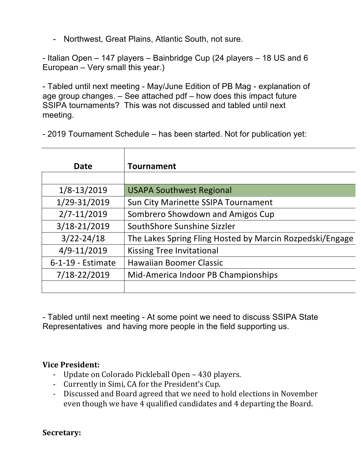- Northwest, Great Plains, Atlantic South, not sure.

- Italian Open – 147 players – Bainbridge Cup (24 players – 18 US and 6 European – Very small this year.)

- Tabled until next meeting - May/June Edition of PB Mag - explanation of age group changes. – See attached pdf – how does this impact future SSIPA tournaments? This was not discussed and tabled until next meeting.

- 2019 Tournament Schedule – has been started. Not for publication yet:

| <b>Date</b>       | <b>Tournament</b>                                        |
|-------------------|----------------------------------------------------------|
|                   |                                                          |
| $1/8 - 13/2019$   | <b>USAPA Southwest Regional</b>                          |
| 1/29-31/2019      | Sun City Marinette SSIPA Tournament                      |
| 2/7-11/2019       | Sombrero Showdown and Amigos Cup                         |
| 3/18-21/2019      | SouthShore Sunshine Sizzler                              |
| $3/22 - 24/18$    | The Lakes Spring Fling Hosted by Marcin Rozpedski/Engage |
| $4/9 - 11/2019$   | <b>Kissing Tree Invitational</b>                         |
| 6-1-19 - Estimate | <b>Hawaiian Boomer Classic</b>                           |
| 7/18-22/2019      | Mid-America Indoor PB Championships                      |
|                   |                                                          |
|                   |                                                          |

- Tabled until next meeting - At some point we need to discuss SSIPA State Representatives and having more people in the field supporting us.

#### **Vice President:**

- Update on Colorado Pickleball Open 430 players.
- Currently in Simi, CA for the President's Cup.
- Discussed and Board agreed that we need to hold elections in November even though we have 4 qualified candidates and 4 departing the Board.

**Secretary:**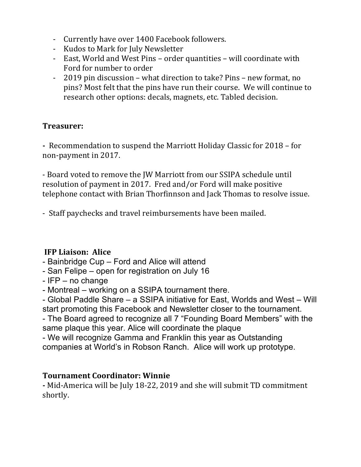- Currently have over 1400 Facebook followers.
- Kudos to Mark for July Newsletter
- East, World and West Pins order quantities will coordinate with Ford for number to order
- 2019 pin discussion what direction to take? Pins new format, no pins? Most felt that the pins have run their course. We will continue to research other options: decals, magnets, etc. Tabled decision.

# **Treasurer:**

- Recommendation to suspend the Marriott Holiday Classic for 2018 – for non-payment in 2017.

- Board voted to remove the JW Marriott from our SSIPA schedule until resolution of payment in 2017. Fred and/or Ford will make positive telephone contact with Brian Thorfinnson and Jack Thomas to resolve issue.

- Staff paychecks and travel reimbursements have been mailed.

# **IFP Liaison: Alice**

- Bainbridge Cup Ford and Alice will attend
- San Felipe open for registration on July 16
- IFP no change
- Montreal working on a SSIPA tournament there.

- Global Paddle Share – a SSIPA initiative for East, Worlds and West – Will start promoting this Facebook and Newsletter closer to the tournament.

- The Board agreed to recognize all 7 "Founding Board Members" with the same plaque this year. Alice will coordinate the plaque

- We will recognize Gamma and Franklin this year as Outstanding companies at World's in Robson Ranch. Alice will work up prototype.

# **Tournament Coordinator: Winnie**

**-** Mid-America will be July 18-22, 2019 and she will submit TD commitment shortly.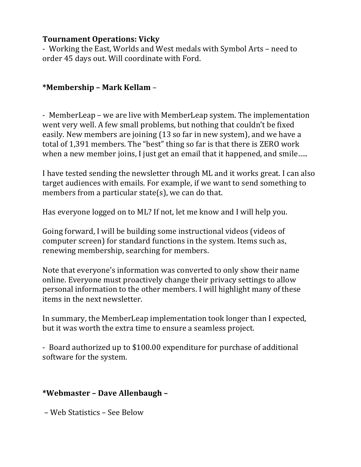#### **Tournament Operations: Vicky**

- Working the East, Worlds and West medals with Symbol Arts – need to order 45 days out. Will coordinate with Ford.

# **\*Membership – Mark Kellam** –

- MemberLeap – we are live with MemberLeap system. The implementation went very well. A few small problems, but nothing that couldn't be fixed easily. New members are joining (13 so far in new system), and we have a total of 1,391 members. The "best" thing so far is that there is ZERO work when a new member joins, I just get an email that it happened, and smile.....

I have tested sending the newsletter through ML and it works great. I can also target audiences with emails. For example, if we want to send something to members from a particular state(s), we can do that.

Has everyone logged on to ML? If not, let me know and I will help you.

Going forward, I will be building some instructional videos (videos of computer screen) for standard functions in the system. Items such as, renewing membership, searching for members.

Note that everyone's information was converted to only show their name online. Everyone must proactively change their privacy settings to allow personal information to the other members. I will highlight many of these items in the next newsletter.

In summary, the MemberLeap implementation took longer than I expected, but it was worth the extra time to ensure a seamless project.

- Board authorized up to \$100.00 expenditure for purchase of additional software for the system.

# **\*Webmaster – Dave Allenbaugh –**

– Web Statistics – See Below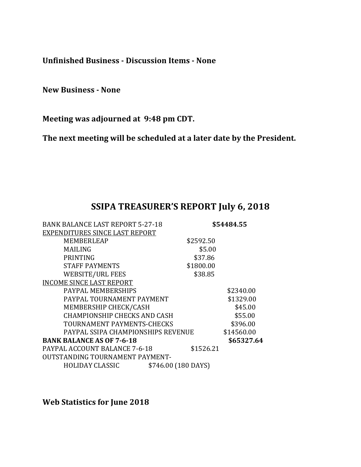**Unfinished Business - Discussion Items - None**

**New Business - None**

Meeting was adjourned at 9:48 pm CDT.

The next meeting will be scheduled at a later date by the President.

# SSIPA TREASURER'S REPORT July 6, 2018

| <b>BANK BALANCE LAST REPORT 5-27-18</b> | \$54484.55          |  |  |
|-----------------------------------------|---------------------|--|--|
| EXPENDITURES SINCE LAST REPORT          |                     |  |  |
| <b>MEMBERLEAP</b>                       | \$2592.50           |  |  |
| MAILING                                 | \$5.00              |  |  |
| <b>PRINTING</b>                         | \$37.86             |  |  |
| <b>STAFF PAYMENTS</b>                   | \$1800.00           |  |  |
| <b>WEBSITE/URL FEES</b>                 | \$38.85             |  |  |
| <b>INCOME SINCE LAST REPORT</b>         |                     |  |  |
| PAYPAL MEMBERSHIPS                      | \$2340.00           |  |  |
| PAYPAL TOURNAMENT PAYMENT               | \$1329.00           |  |  |
| MEMBERSHIP CHECK/CASH                   | \$45.00             |  |  |
| <b>CHAMPIONSHIP CHECKS AND CASH</b>     | \$55.00             |  |  |
| TOURNAMENT PAYMENTS-CHECKS              | \$396.00            |  |  |
| PAYPAL SSIPA CHAMPIONSHIPS REVENUE      | \$14560.00          |  |  |
| <b>BANK BALANCE AS OF 7-6-18</b>        | \$65327.64          |  |  |
| PAYPAL ACCOUNT BALANCE 7-6-18           | \$1526.21           |  |  |
| <b>OUTSTANDING TOURNAMENT PAYMENT-</b>  |                     |  |  |
| HOLIDAY CLASSIC                         | \$746.00 (180 DAYS) |  |  |

Web Statistics for June 2018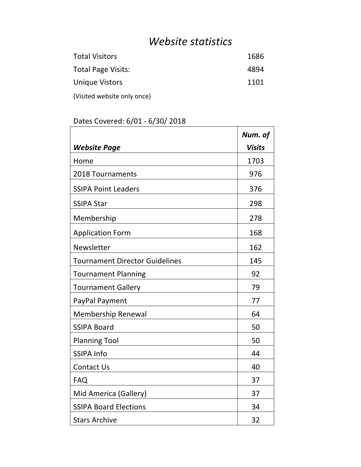# *Website statistics*

| <b>Total Visitors</b>       | 1686 |
|-----------------------------|------|
| <b>Total Page Visits:</b>   | 4894 |
| Unique Vistors              | 1101 |
| (Visited website only once) |      |

# Dates Covered: 6/01 - 6/30/ 2018

|                                       | Num. of       |
|---------------------------------------|---------------|
| <b>Website Page</b>                   | <b>Visits</b> |
| Home                                  | 1703          |
| 2018 Tournaments                      | 976           |
| <b>SSIPA Point Leaders</b>            | 376           |
| <b>SSIPA Star</b>                     | 298           |
| Membership                            | 278           |
| <b>Application Form</b>               | 168           |
| Newsletter                            | 162           |
| <b>Tournament Director Guidelines</b> | 145           |
| <b>Tournament Planning</b>            | 92            |
| <b>Tournament Gallery</b>             | 79            |
| PayPal Payment                        | 77            |
| Membership Renewal                    | 64            |
| <b>SSIPA Board</b>                    | 50            |
| <b>Planning Tool</b>                  | 50            |
| <b>SSIPA Info</b>                     | 44            |
| <b>Contact Us</b>                     | 40            |
| <b>FAQ</b>                            | 37            |
| Mid America (Gallery)                 | 37            |
| <b>SSIPA Board Elections</b>          | 34            |
| <b>Stars Archive</b>                  | 32            |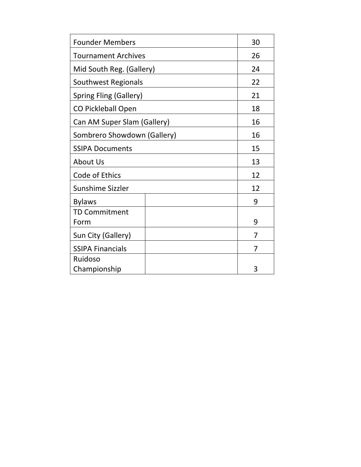| <b>Founder Members</b>      | 30 |
|-----------------------------|----|
| <b>Tournament Archives</b>  | 26 |
| Mid South Reg. (Gallery)    | 24 |
| Southwest Regionals         | 22 |
| Spring Fling (Gallery)      | 21 |
| <b>CO Pickleball Open</b>   | 18 |
| Can AM Super Slam (Gallery) | 16 |
| Sombrero Showdown (Gallery) | 16 |
| <b>SSIPA Documents</b>      | 15 |
| About Us                    | 13 |
| Code of Ethics              | 12 |
| Sunshime Sizzler            | 12 |
| <b>Bylaws</b>               | 9  |
| <b>TD Commitment</b>        |    |
| Form                        | 9  |
| Sun City (Gallery)          | 7  |
| <b>SSIPA Financials</b>     | 7  |
| Ruidoso                     |    |
| Championship                | 3  |